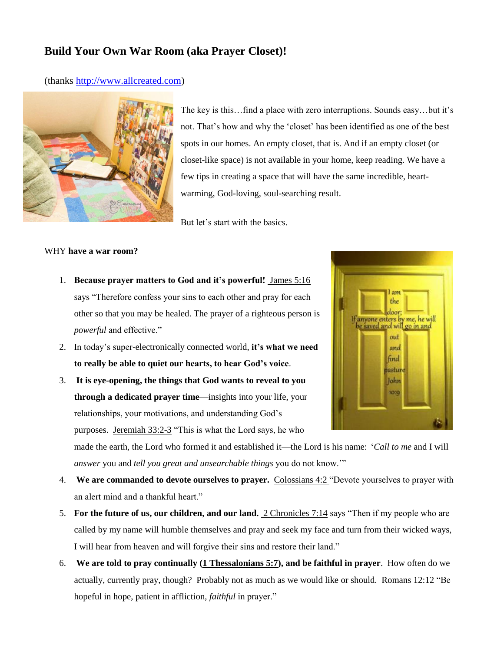## **Build Your Own War Room (aka Prayer Closet)!**

(thanks [http://www.allcreated.com\)](http://www.allcreated.com/)



The key is this…find a place with zero interruptions. Sounds easy…but it's not. That's how and why the 'closet' has been identified as one of the best spots in our homes. An empty closet, that is. And if an empty closet (or closet-like space) is not available in your home, keep reading. We have a few tips in creating a space that will have the same incredible, heartwarming, God-loving, soul-searching result.

But let's start with the basics.

## WHY **have a war room?**

- 1. **Because prayer matters to God and it's powerful!** [James 5:16](http://www.godvine.com/bible/james/5-16) says "Therefore confess your sins to each other and pray for each other so that you may be healed. The prayer of a righteous person is *powerful* and effective."
- 2. In today's super-electronically connected world, **it's what we need to really be able to quiet our hearts, to hear God's voice**.
- 3. **It is eye-opening, the things that God wants to reveal to you through a dedicated prayer time**—insights into your life, your relationships, your motivations, and understanding God's purposes. [Jeremiah 33:2-3](http://www.godvine.com/bible/jeremiah/33-2) "This is what the Lord says, he who



made the earth, the Lord who formed it and established it—the Lord is his name: '*Call to me* and I will *answer* you and *tell you great and unsearchable things* you do not know.'"

- 4. **We are commanded to devote ourselves to prayer.** [Colossians 4:2 "](http://www.godvine.com/bible/colossians/4-2)Devote yourselves to prayer with an alert mind and a thankful heart."
- 5. **For the future of us, our children, and our land.** [2 Chronicles 7:14](http://www.godvine.com/bible/2-chronicles/7-14) says "Then if my people who are called by my name will humble themselves and pray and seek my face and turn from their wicked ways, I will hear from heaven and will forgive their sins and restore their land."
- 6. **We are told to pray continually [\(1 Thessalonians 5:7\)](http://www.godvine.com/bible/1-thessalonians/5-7), and be faithful in prayer**. How often do we actually, currently pray, though? Probably not as much as we would like or should. [Romans 12:12](http://www.godvine.com/bible/romans/12-12) "Be hopeful in hope, patient in affliction, *faithful* in prayer."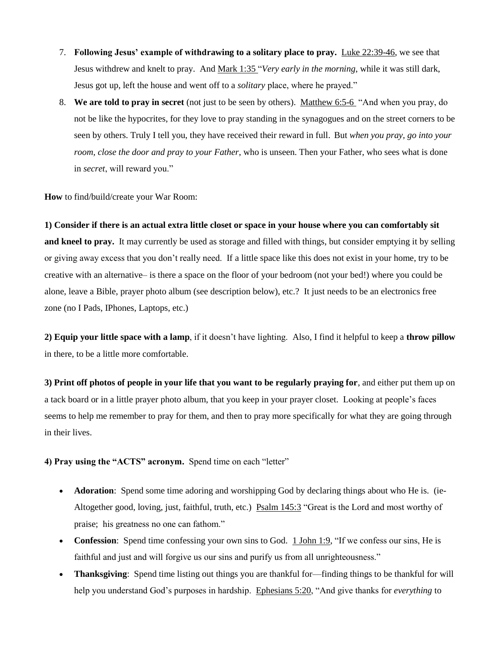- 7. **Following Jesus' example of withdrawing to a solitary place to pray.** [Luke 22:39-46,](http://www.godvine.com/bible/luke/22-39) we see that Jesus withdrew and knelt to pray. And [Mark 1:35 "](http://www.godvine.com/bible/mark/1-35)*Very early in the morning*, while it was still dark, Jesus got up, left the house and went off to a *solitary* place, where he prayed."
- 8. **We are told to pray in secret** (not just to be seen by others). [Matthew 6:5-6](http://www.godvine.com/bible/matthew/6-5) "And when you pray, do not be like the hypocrites, for they love to pray standing in the synagogues and on the street corners to be seen by others. Truly I tell you, they have received their reward in full. But *when you pray, go into your room, close the door and pray to your Father*, who is unseen. Then your Father, who sees what is done in *secret*, will reward you."

**How** to find/build/create your War Room:

**1) Consider if there is an actual extra little closet or space in your house where you can comfortably sit and kneel to pray.** It may currently be used as storage and filled with things, but consider emptying it by selling or giving away excess that you don't really need. If a little space like this does not exist in your home, try to be creative with an alternative– is there a space on the floor of your bedroom (not your bed!) where you could be alone, leave a Bible, prayer photo album (see description below), etc.? It just needs to be an electronics free zone (no I Pads, IPhones, Laptops, etc.)

**2) Equip your little space with a lamp**, if it doesn't have lighting. Also, I find it helpful to keep a **throw pillow** in there, to be a little more comfortable.

**3) Print off photos of people in your life that you want to be regularly praying for**, and either put them up on a tack board or in a little prayer photo album, that you keep in your prayer closet. Looking at people's faces seems to help me remember to pray for them, and then to pray more specifically for what they are going through in their lives.

**4) Pray using the "ACTS" acronym.** Spend time on each "letter"

- **Adoration**: Spend some time adoring and worshipping God by declaring things about who He is. (ie-Altogether good, loving, just, faithful, truth, etc.) [Psalm 145:3](http://www.godvine.com/bible/psalms/145-3) "Great is the Lord and most worthy of praise; his greatness no one can fathom."
- **Confession**: Spend time confessing your own sins to God. [1 John 1:9,](http://www.godvine.com/bible/1-john/1-9) "If we confess our sins, He is faithful and just and will forgive us our sins and purify us from all unrighteousness."
- **Thanksgiving**: Spend time listing out things you are thankful for—finding things to be thankful for will help you understand God's purposes in hardship. [Ephesians 5:20,](http://www.godvine.com/bible/ephesians/5-20) "And give thanks for *everything* to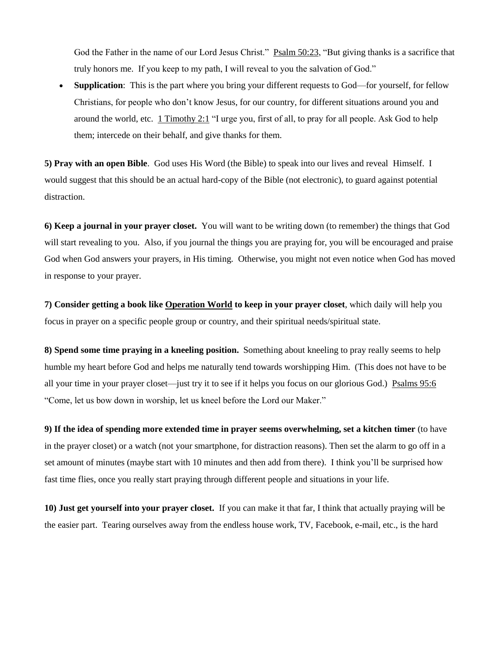God the Father in the name of our Lord Jesus Christ." [Psalm 50:23,](http://www.godvine.com/bible/psalms/50-23) "But giving thanks is a sacrifice that truly honors me. If you keep to my path, I will reveal to you the salvation of God."

**Supplication:** This is the part where you bring your different requests to God—for yourself, for fellow Christians, for people who don't know Jesus, for our country, for different situations around you and around the world, etc. [1 Timothy 2:1](http://www.godvine.com/bible/1-timothy/2-1) "I urge you, first of all, to pray for all people. Ask God to help them; intercede on their behalf, and give thanks for them.

**5) Pray with an open Bible**. God uses His Word (the Bible) to speak into our lives and reveal Himself. I would suggest that this should be an actual hard-copy of the Bible (not electronic), to guard against potential distraction.

**6) Keep a journal in your prayer closet.** You will want to be writing down (to remember) the things that God will start revealing to you. Also, if you journal the things you are praying for, you will be encouraged and praise God when God answers your prayers, in His timing. Otherwise, you might not even notice when God has moved in response to your prayer.

**7) Consider getting a book lik[e Operation World](http://www.operationworld.org/) to keep in your prayer closet**, which daily will help you focus in prayer on a specific people group or country, and their spiritual needs/spiritual state.

**8) Spend some time praying in a kneeling position.** Something about kneeling to pray really seems to help humble my heart before God and helps me naturally tend towards worshipping Him. (This does not have to be all your time in your prayer closet—just try it to see if it helps you focus on our glorious God.) [Psalms 95:6](http://www.godvine.com/bible/psalms/95-6) "Come, let us bow down in worship, let us kneel before the Lord our Maker."

**9) If the idea of spending more extended time in prayer seems overwhelming, set a kitchen timer** (to have in the prayer closet) or a watch (not your smartphone, for distraction reasons). Then set the alarm to go off in a set amount of minutes (maybe start with 10 minutes and then add from there). I think you'll be surprised how fast time flies, once you really start praying through different people and situations in your life.

**10) Just get yourself into your prayer closet.** If you can make it that far, I think that actually praying will be the easier part. Tearing ourselves away from the endless house work, TV, Facebook, e-mail, etc., is the hard